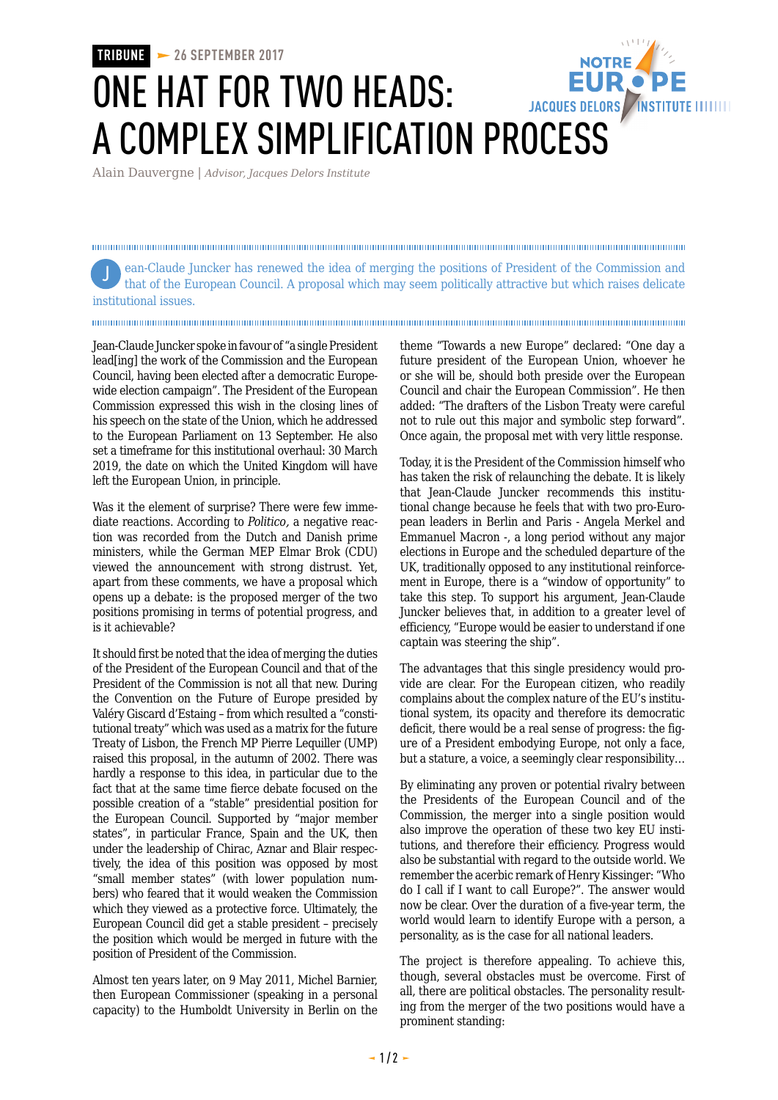## **TRIBUNE 26 SEPTEMBER 2017** ONE HAT FOR TWO HEADS: JACQUES DELORS / INSTITUTE IIIIIIII A COMPLEX SIMPLIFICATION PROCESS

Alain Dauvergne | *Advisor, Jacques Delors Institute*

ean-Claude Juncker has renewed the idea of merging the positions of President of the Commission and Jthat of the European Council. A proposal which may seem politically attractive but which raises delicate institutional issues.

Jean-Claude Juncker spoke in favour of "a single President lead[ing] the work of the Commission and the European Council, having been elected after a democratic Europewide election campaign". The President of the European Commission expressed this wish in the closing lines of his speech on the state of the Union, which he addressed to the European Parliament on 13 September. He also set a timeframe for this institutional overhaul: 30 March 2019, the date on which the United Kingdom will have left the European Union, in principle.

Was it the element of surprise? There were few immediate reactions. According to *Politico,* a negative reaction was recorded from the Dutch and Danish prime ministers, while the German MEP Elmar Brok (CDU) viewed the announcement with strong distrust. Yet, apart from these comments, we have a proposal which opens up a debate: is the proposed merger of the two positions promising in terms of potential progress, and is it achievable?

It should first be noted that the idea of merging the duties of the President of the European Council and that of the President of the Commission is not all that new. During the Convention on the Future of Europe presided by Valéry Giscard d'Estaing – from which resulted a "constitutional treaty" which was used as a matrix for the future Treaty of Lisbon, the French MP Pierre Lequiller (UMP) raised this proposal, in the autumn of 2002. There was hardly a response to this idea, in particular due to the fact that at the same time fierce debate focused on the possible creation of a "stable" presidential position for the European Council. Supported by "major member states", in particular France, Spain and the UK, then under the leadership of Chirac, Aznar and Blair respectively, the idea of this position was opposed by most "small member states" (with lower population numbers) who feared that it would weaken the Commission which they viewed as a protective force. Ultimately, the European Council did get a stable president – precisely the position which would be merged in future with the position of President of the Commission.

Almost ten years later, on 9 May 2011, Michel Barnier, then European Commissioner (speaking in a personal capacity) to the Humboldt University in Berlin on the theme "Towards a new Europe" declared: "One day a future president of the European Union, whoever he or she will be, should both preside over the European Council and chair the European Commission". He then added: "The drafters of the Lisbon Treaty were careful not to rule out this major and symbolic step forward". Once again, the proposal met with very little response.

Today, it is the President of the Commission himself who has taken the risk of relaunching the debate. It is likely that Jean-Claude Juncker recommends this institutional change because he feels that with two pro-European leaders in Berlin and Paris - Angela Merkel and Emmanuel Macron -, a long period without any major elections in Europe and the scheduled departure of the UK, traditionally opposed to any institutional reinforcement in Europe, there is a "window of opportunity" to take this step. To support his argument, Jean-Claude Juncker believes that, in addition to a greater level of efficiency, "Europe would be easier to understand if one captain was steering the ship".

The advantages that this single presidency would provide are clear. For the European citizen, who readily complains about the complex nature of the EU's institutional system, its opacity and therefore its democratic deficit, there would be a real sense of progress: the figure of a President embodying Europe, not only a face, but a stature, a voice, a seemingly clear responsibility…

By eliminating any proven or potential rivalry between the Presidents of the European Council and of the Commission, the merger into a single position would also improve the operation of these two key EU institutions, and therefore their efficiency. Progress would also be substantial with regard to the outside world. We remember the acerbic remark of Henry Kissinger: "Who do I call if I want to call Europe?". The answer would now be clear. Over the duration of a five-year term, the world would learn to identify Europe with a person, a personality, as is the case for all national leaders.

The project is therefore appealing. To achieve this, though, several obstacles must be overcome. First of all, there are political obstacles. The personality resulting from the merger of the two positions would have a prominent standing: